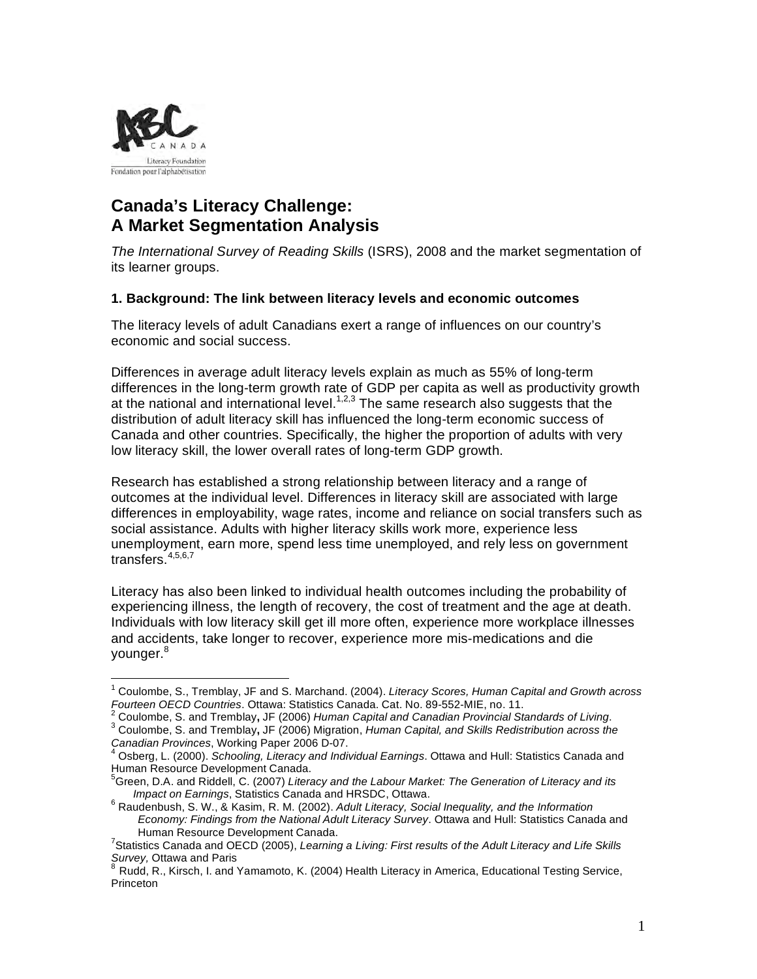

# **Canada's Literacy Challenge: A Market Segmentation Analysis**

*The International Survey of Reading Skills* (ISRS), 2008 and the market segmentation of its learner groups.

### **1. Background: The link between literacy levels and economic outcomes**

The literacy levels of adult Canadians exert a range of influences on our country's economic and social success.

Differences in average adult literacy levels explain as much as 55% of long-term differences in the long-term growth rate of GDP per capita as well as productivity growth at the national and international level.<sup>1,2,3</sup> The same research also suggests that the distribution of adult literacy skill has influenced the long-term economic success of Canada and other countries. Specifically, the higher the proportion of adults with very low literacy skill, the lower overall rates of long-term GDP growth.

Research has established a strong relationship between literacy and a range of outcomes at the individual level. Differences in literacy skill are associated with large differences in employability, wage rates, income and reliance on social transfers such as social assistance. Adults with higher literacy skills work more, experience less unemployment, earn more, spend less time unemployed, and rely less on government transfers.<sup>4,5,6,7</sup>

Literacy has also been linked to individual health outcomes including the probability of experiencing illness, the length of recovery, the cost of treatment and the age at death. Individuals with low literacy skill get ill more often, experience more workplace illnesses and accidents, take longer to recover, experience more mis-medications and die younger.<sup>8</sup>

 $\frac{1}{1}$  Coulombe, S., Tremblay, JF and S. Marchand. (2004). *Literacy Scores, Human Capital and Growth across Fourteen OECD Countries*. Ottawa: Statistics Canada. Cat. No. 89-552-MIE, no. 11. <sup>2</sup>

Coulombe, S. and Tremblay**,** JF (2006) *Human Capital and Canadian Provincial Standards of Living*. <sup>3</sup>

<sup>&</sup>lt;sup>3</sup> Coulombe, S. and Tremblay, JF (2006) Migration, *Human Capital, and Skills Redistribution across the Canadian Provinces, Working Paper 2006 D-07.* 

Osberg, L. (2000). Schooling, Literacy and Individual Earnings. Ottawa and Hull: Statistics Canada and Human Resource Development Canada. <sup>5</sup>

Green, D.A. and Riddell, C. (2007) *Literacy and the Labour Market: The Generation of Literacy and its Impact on Earnings*, Statistics Canada and HRSDC, Ottawa.

<sup>&</sup>lt;sup>6</sup> Raudenbush, S. W., & Kasim, R. M. (2002). *Adult Literacy, Social Inequality, and the Information Economy: Findings from the National Adult Literacy Survey*. Ottawa and Hull: Statistics Canada and

Human Resource Development Canada. <sup>7</sup> Statistics Canada and OECD (2005), *Learning a Living: First results of the Adult Literacy and Life Skills Survey,* Ottawa and Paris<br><sup>8</sup> Rudd, R., Kirsch, I. and Yamamoto, K. (2004) Health Literacy in America, Educational Testing Service,

Princeton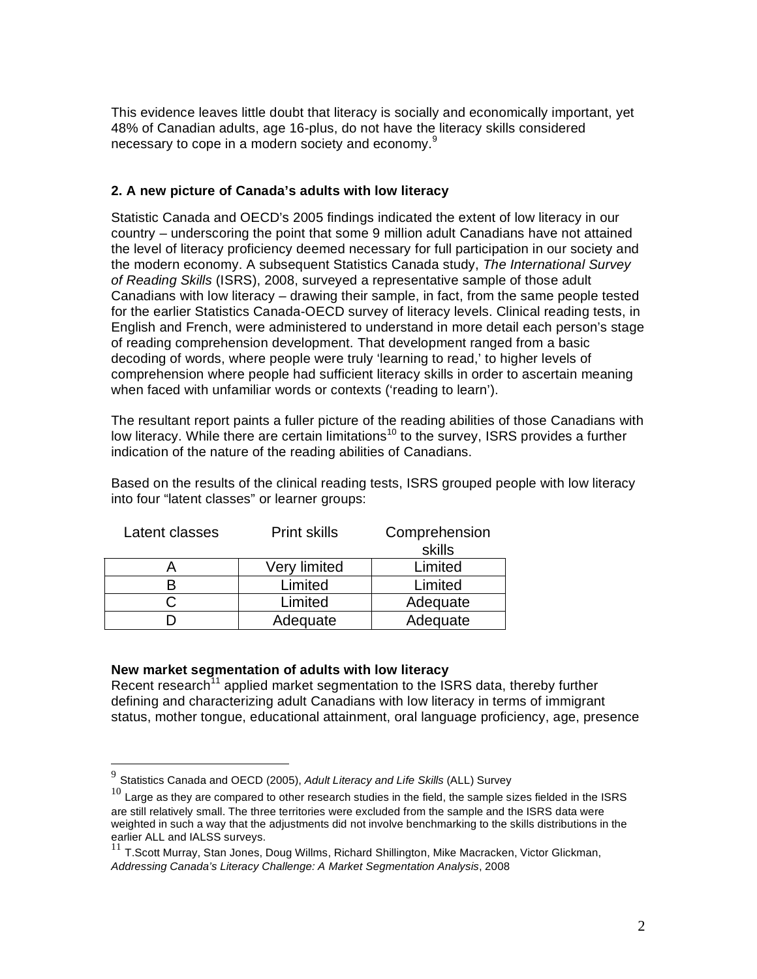This evidence leaves little doubt that literacy is socially and economically important, yet 48% of Canadian adults, age 16-plus, do not have the literacy skills considered necessary to cope in a modern society and economy.<sup>9</sup>

## **2. A new picture of Canada's adults with low literacy**

Statistic Canada and OECD's 2005 findings indicated the extent of low literacy in our country – underscoring the point that some 9 million adult Canadians have not attained the level of literacy proficiency deemed necessary for full participation in our society and the modern economy. A subsequent Statistics Canada study, *The International Survey of Reading Skills* (ISRS), 2008, surveyed a representative sample of those adult Canadians with low literacy – drawing their sample, in fact, from the same people tested for the earlier Statistics Canada-OECD survey of literacy levels. Clinical reading tests, in English and French, were administered to understand in more detail each person's stage of reading comprehension development. That development ranged from a basic decoding of words, where people were truly 'learning to read,' to higher levels of comprehension where people had sufficient literacy skills in order to ascertain meaning when faced with unfamiliar words or contexts ('reading to learn').

The resultant report paints a fuller picture of the reading abilities of those Canadians with low literacy. While there are certain limitations<sup>10</sup> to the survey. ISRS provides a further indication of the nature of the reading abilities of Canadians.

Based on the results of the clinical reading tests, ISRS grouped people with low literacy into four "latent classes" or learner groups:

| Latent classes | <b>Print skills</b> | Comprehension<br>skills |
|----------------|---------------------|-------------------------|
|                | <b>Very limited</b> | Limited                 |
|                | Limited             | Limited                 |
|                | Limited             | Adequate                |
|                | Adequate            | Adequate                |

## **New market segmentation of adults with low literacy**

Recent research<sup> $11$ </sup> applied market segmentation to the ISRS data, thereby further defining and characterizing adult Canadians with low literacy in terms of immigrant status, mother tongue, educational attainment, oral language proficiency, age, presence

 <sup>9</sup> Statistics Canada and OECD (2005), *Adult Literacy and Life Skills* (ALL) Survey

 $10$  Large as they are compared to other research studies in the field, the sample sizes fielded in the ISRS are still relatively small. The three territories were excluded from the sample and the ISRS data were weighted in such a way that the adjustments did not involve benchmarking to the skills distributions in the earlier ALL and IALSS surveys.

 $11$  T.Scott Murray, Stan Jones, Doug Willms, Richard Shillington, Mike Macracken, Victor Glickman, *Addressing Canada's Literacy Challenge: A Market Segmentation Analysis*, 2008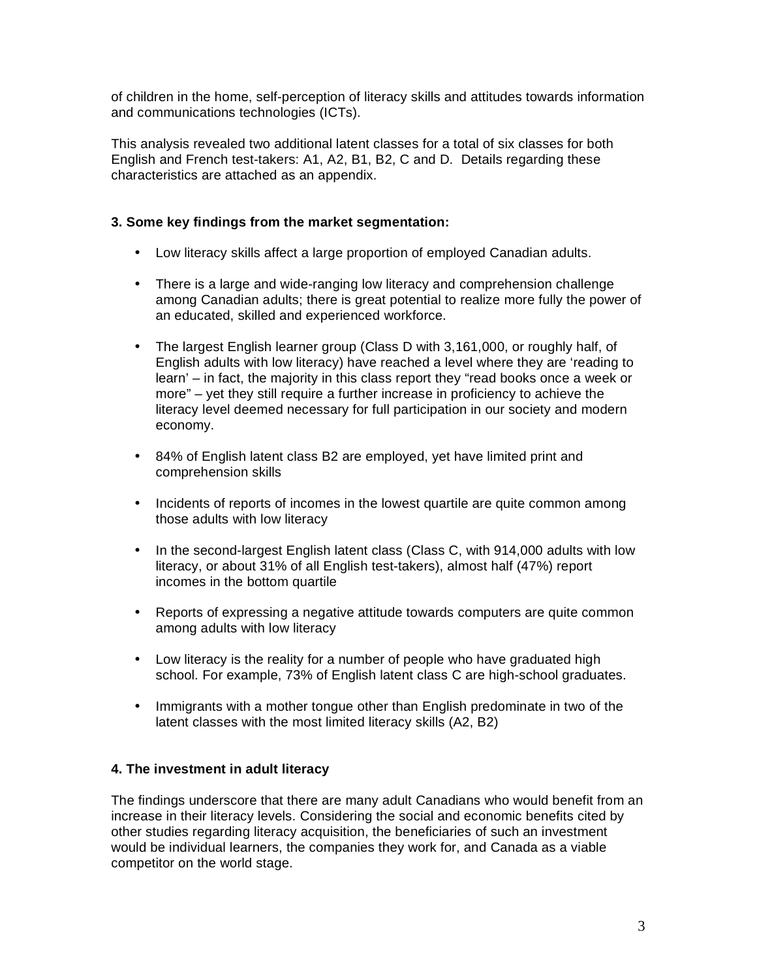of children in the home, self-perception of literacy skills and attitudes towards information and communications technologies (ICTs).

This analysis revealed two additional latent classes for a total of six classes for both English and French test-takers: A1, A2, B1, B2, C and D. Details regarding these characteristics are attached as an appendix.

## **3. Some key findings from the market segmentation:**

- Low literacy skills affect a large proportion of employed Canadian adults.
- There is a large and wide-ranging low literacy and comprehension challenge among Canadian adults; there is great potential to realize more fully the power of an educated, skilled and experienced workforce.
- The largest English learner group (Class D with 3,161,000, or roughly half, of English adults with low literacy) have reached a level where they are 'reading to learn' – in fact, the majority in this class report they "read books once a week or more" – yet they still require a further increase in proficiency to achieve the literacy level deemed necessary for full participation in our society and modern economy.
- 84% of English latent class B2 are employed, yet have limited print and comprehension skills
- Incidents of reports of incomes in the lowest quartile are quite common among those adults with low literacy
- In the second-largest English latent class (Class C, with 914,000 adults with low literacy, or about 31% of all English test-takers), almost half (47%) report incomes in the bottom quartile
- Reports of expressing a negative attitude towards computers are quite common among adults with low literacy
- Low literacy is the reality for a number of people who have graduated high school. For example, 73% of English latent class C are high-school graduates.
- Immigrants with a mother tongue other than English predominate in two of the latent classes with the most limited literacy skills (A2, B2)

## **4. The investment in adult literacy**

The findings underscore that there are many adult Canadians who would benefit from an increase in their literacy levels. Considering the social and economic benefits cited by other studies regarding literacy acquisition, the beneficiaries of such an investment would be individual learners, the companies they work for, and Canada as a viable competitor on the world stage.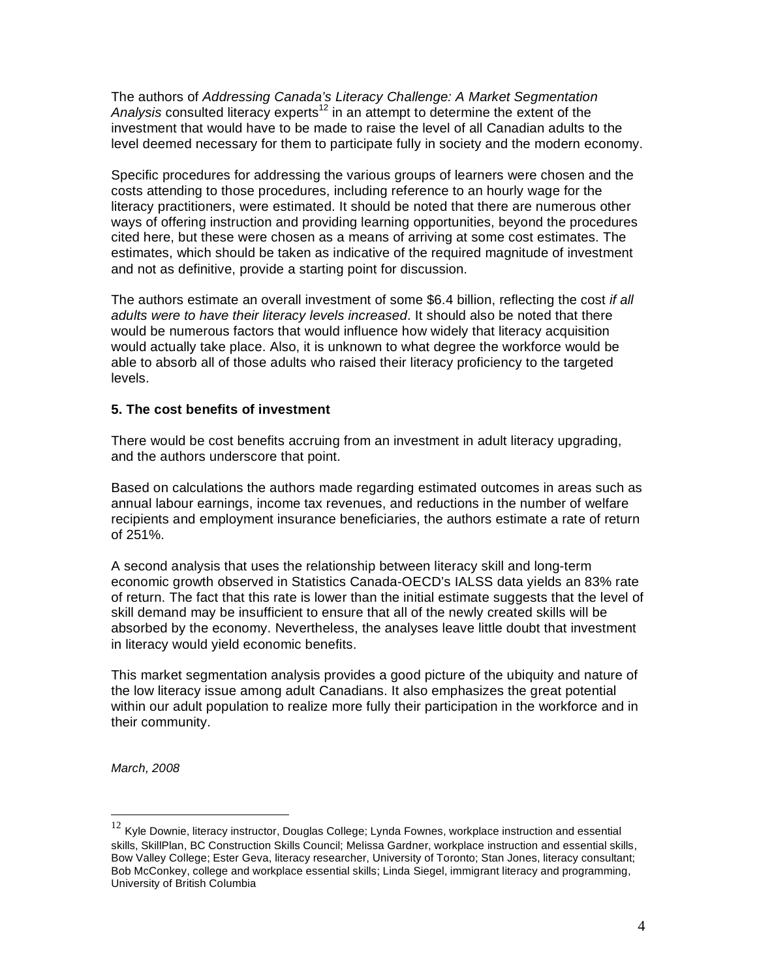The authors of *Addressing Canada's Literacy Challenge: A Market Segmentation*  Analysis consulted literacy experts<sup>12</sup> in an attempt to determine the extent of the investment that would have to be made to raise the level of all Canadian adults to the level deemed necessary for them to participate fully in society and the modern economy.

Specific procedures for addressing the various groups of learners were chosen and the costs attending to those procedures, including reference to an hourly wage for the literacy practitioners, were estimated. It should be noted that there are numerous other ways of offering instruction and providing learning opportunities, beyond the procedures cited here, but these were chosen as a means of arriving at some cost estimates. The estimates, which should be taken as indicative of the required magnitude of investment and not as definitive, provide a starting point for discussion.

The authors estimate an overall investment of some \$6.4 billion, reflecting the cost *if all adults were to have their literacy levels increased*. It should also be noted that there would be numerous factors that would influence how widely that literacy acquisition would actually take place. Also, it is unknown to what degree the workforce would be able to absorb all of those adults who raised their literacy proficiency to the targeted levels.

### **5. The cost benefits of investment**

There would be cost benefits accruing from an investment in adult literacy upgrading, and the authors underscore that point.

Based on calculations the authors made regarding estimated outcomes in areas such as annual labour earnings, income tax revenues, and reductions in the number of welfare recipients and employment insurance beneficiaries, the authors estimate a rate of return of 251%.

A second analysis that uses the relationship between literacy skill and long-term economic growth observed in Statistics Canada-OECD's IALSS data yields an 83% rate of return. The fact that this rate is lower than the initial estimate suggests that the level of skill demand may be insufficient to ensure that all of the newly created skills will be absorbed by the economy. Nevertheless, the analyses leave little doubt that investment in literacy would yield economic benefits.

This market segmentation analysis provides a good picture of the ubiquity and nature of the low literacy issue among adult Canadians. It also emphasizes the great potential within our adult population to realize more fully their participation in the workforce and in their community.

*March, 2008*

 $12$  Kyle Downie, literacy instructor, Douglas College; Lynda Fownes, workplace instruction and essential skills, SkillPlan, BC Construction Skills Council; Melissa Gardner, workplace instruction and essential skills, Bow Valley College; Ester Geva, literacy researcher, University of Toronto; Stan Jones, literacy consultant; Bob McConkey, college and workplace essential skills; Linda Siegel, immigrant literacy and programming, University of British Columbia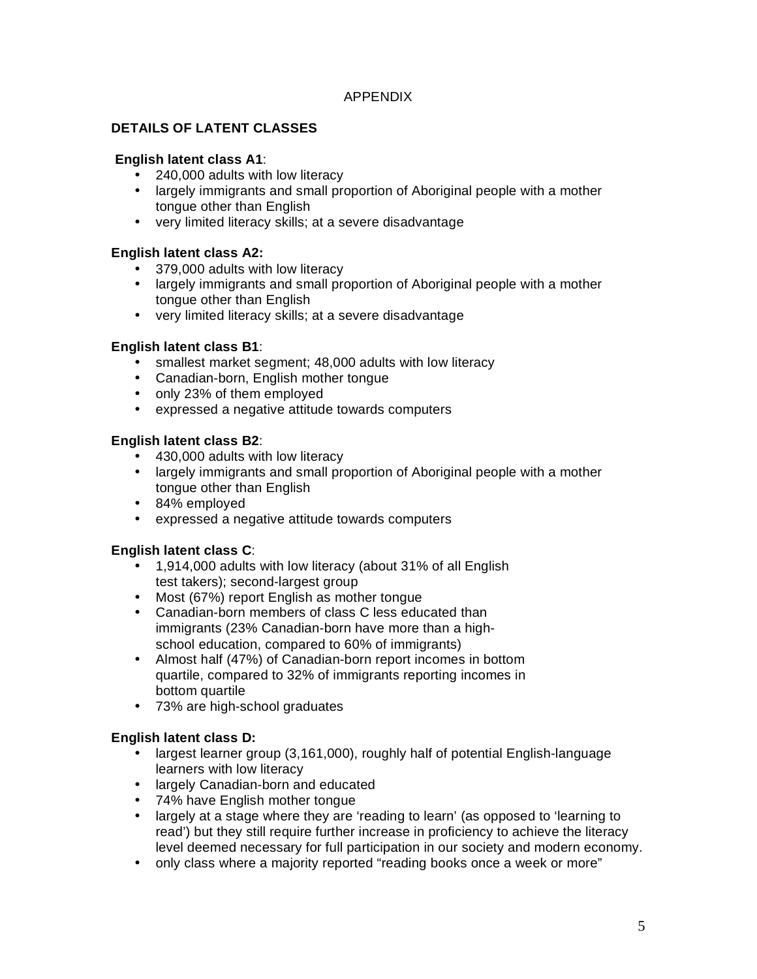## APPENDIX

## **DETAILS OF LATENT CLASSES**

## **English latent class A1**:

- 240,000 adults with low literacy
- largely immigrants and small proportion of Aboriginal people with a mother tongue other than English
- very limited literacy skills; at a severe disadvantage

### **English latent class A2:**

- 379,000 adults with low literacy
- largely immigrants and small proportion of Aboriginal people with a mother tongue other than English
- very limited literacy skills; at a severe disadvantage

### **English latent class B1**:

- smallest market segment; 48,000 adults with low literacy
- Canadian-born, English mother tongue
- only 23% of them employed
- expressed a negative attitude towards computers

### **English latent class B2**:

- 430,000 adults with low literacy
- largely immigrants and small proportion of Aboriginal people with a mother tongue other than English
- 84% employed
- expressed a negative attitude towards computers

## **English latent class C**:

- 1,914,000 adults with low literacy (about 31% of all English test takers); second-largest group
- Most (67%) report English as mother tongue
- Canadian-born members of class C less educated than immigrants (23% Canadian-born have more than a highschool education, compared to 60% of immigrants)
- Almost half (47%) of Canadian-born report incomes in bottom quartile, compared to 32% of immigrants reporting incomes in bottom quartile
- 73% are high-school graduates

## **English latent class D:**

- largest learner group (3,161,000), roughly half of potential English-language learners with low literacy
- largely Canadian-born and educated
- 74% have English mother tongue
- largely at a stage where they are 'reading to learn' (as opposed to 'learning to read') but they still require further increase in proficiency to achieve the literacy level deemed necessary for full participation in our society and modern economy.
- only class where a majority reported "reading books once a week or more"